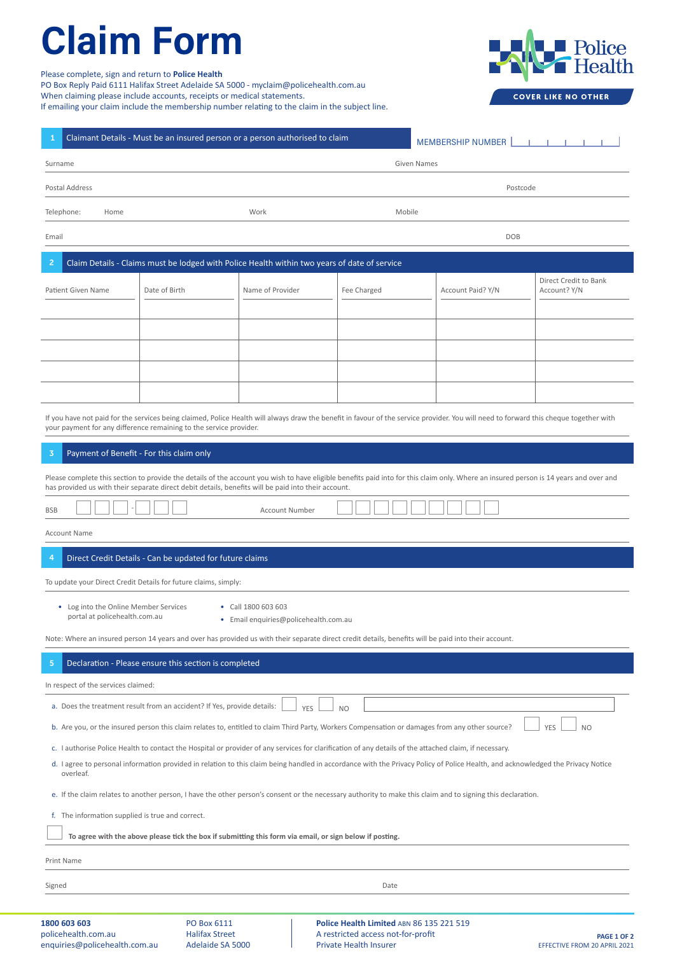## Claim Form **Claim Form**

Please complete, sign and return to **Police Health Send completed and signed completed and any accounts to one of the following or medical statements or medical statements or medical statements or medical statements to o** 

PO Box Reply Paid 6111 Halifax Street Adelaide SA 5000 - myclaim@policehealth.com.au

When claiming please include accounts, receipts or medical statements.

If emailing your claim include the membership number relating to the claim in the subject line.



**COVER LIKE NO OTHER** 

| Claimant Details - Must be an insured person or a person authorised to claim<br>1<br><b>MEMBERSHIP NUMBER</b><br><b>Contract Contract</b>                                                                                                                                                                                                              |               |                  |                                          |                   |                                       |
|--------------------------------------------------------------------------------------------------------------------------------------------------------------------------------------------------------------------------------------------------------------------------------------------------------------------------------------------------------|---------------|------------------|------------------------------------------|-------------------|---------------------------------------|
| <b>Given Names</b><br>Surname                                                                                                                                                                                                                                                                                                                          |               |                  |                                          |                   |                                       |
| Postal Address<br>Postcode                                                                                                                                                                                                                                                                                                                             |               |                  |                                          |                   |                                       |
| Telephone:<br>Home                                                                                                                                                                                                                                                                                                                                     |               | Work             | Mobile                                   |                   |                                       |
| Email<br><b>DOB</b>                                                                                                                                                                                                                                                                                                                                    |               |                  |                                          |                   |                                       |
| $\overline{2}$<br>Claim Details - Claims must be lodged with Police Health within two years of date of service                                                                                                                                                                                                                                         |               |                  |                                          |                   |                                       |
| <b>Patient Given Name</b>                                                                                                                                                                                                                                                                                                                              | Date of Birth | Name of Provider | Fee Charged                              | Account Paid? Y/N | Direct Credit to Bank<br>Account? Y/N |
|                                                                                                                                                                                                                                                                                                                                                        |               |                  |                                          |                   |                                       |
|                                                                                                                                                                                                                                                                                                                                                        |               |                  |                                          |                   |                                       |
|                                                                                                                                                                                                                                                                                                                                                        |               |                  |                                          |                   |                                       |
|                                                                                                                                                                                                                                                                                                                                                        |               |                  |                                          |                   |                                       |
| If you have not paid for the services being claimed, Police Health will always draw the benefit in favour of the service provider. You will need to forward this cheque together with<br>your payment for any difference remaining to the service provider.                                                                                            |               |                  |                                          |                   |                                       |
| 3<br>Payment of Benefit - For this claim only                                                                                                                                                                                                                                                                                                          |               |                  |                                          |                   |                                       |
| Please complete this section to provide the details of the account you wish to have eligible benefits paid into for this claim only. Where an insured person is 14 years and over and<br>has provided us with their separate direct debit details, benefits will be paid into their account.                                                           |               |                  |                                          |                   |                                       |
| <b>Account Number</b><br><b>BSB</b>                                                                                                                                                                                                                                                                                                                    |               |                  |                                          |                   |                                       |
| <b>Account Name</b>                                                                                                                                                                                                                                                                                                                                    |               |                  |                                          |                   |                                       |
| 4<br>Direct Credit Details - Can be updated for future claims                                                                                                                                                                                                                                                                                          |               |                  |                                          |                   |                                       |
| To update your Direct Credit Details for future claims, simply:                                                                                                                                                                                                                                                                                        |               |                  |                                          |                   |                                       |
| • Log into the Online Member Services<br>• Call 1800 603 603<br>portal at policehealth.com.au<br>• Email enquiries@policehealth.com.au                                                                                                                                                                                                                 |               |                  |                                          |                   |                                       |
| Note: Where an insured person 14 years and over has provided us with their separate direct credit details, benefits will be paid into their account.                                                                                                                                                                                                   |               |                  |                                          |                   |                                       |
| 5<br>Declaration - Please ensure this section is completed                                                                                                                                                                                                                                                                                             |               |                  |                                          |                   |                                       |
| In respect of the services claimed:                                                                                                                                                                                                                                                                                                                    |               |                  |                                          |                   |                                       |
| a. Does the treatment result from an accident? If Yes, provide details:<br><b>YES</b><br><b>NO</b>                                                                                                                                                                                                                                                     |               |                  |                                          |                   |                                       |
| b. Are you, or the insured person this claim relates to, entitled to claim Third Party, Workers Compensation or damages from any other source?<br><b>YES</b><br>N <sub>O</sub>                                                                                                                                                                         |               |                  |                                          |                   |                                       |
| c. I authorise Police Health to contact the Hospital or provider of any services for clarification of any details of the attached claim, if necessary.<br>d. I agree to personal information provided in relation to this claim being handled in accordance with the Privacy Policy of Police Health, and acknowledged the Privacy Notice<br>overleaf. |               |                  |                                          |                   |                                       |
| e. If the claim relates to another person, I have the other person's consent or the necessary authority to make this claim and to signing this declaration.                                                                                                                                                                                            |               |                  |                                          |                   |                                       |
| f. The information supplied is true and correct.                                                                                                                                                                                                                                                                                                       |               |                  |                                          |                   |                                       |
| To agree with the above please tick the box if submitting this form via email, or sign below if posting.                                                                                                                                                                                                                                               |               |                  |                                          |                   |                                       |
| Print Name                                                                                                                                                                                                                                                                                                                                             |               |                  |                                          |                   |                                       |
| Signed                                                                                                                                                                                                                                                                                                                                                 | Date          |                  |                                          |                   |                                       |
| 1800 603 603                                                                                                                                                                                                                                                                                                                                           | PO Box 6111   |                  | Police Health Limited ABN 86 135 221 519 |                   |                                       |

Halifax Street Adelaide SA 5000

**Police Health Limited** ABN 86 135 221 519 A restricted access not-for-profit Private Health Insurer